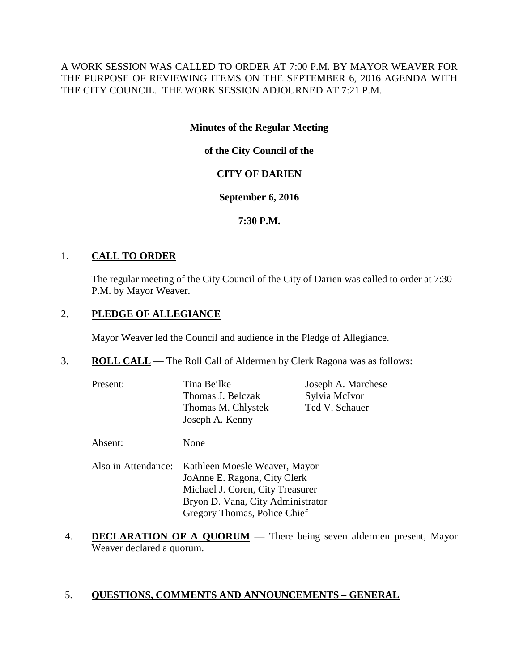A WORK SESSION WAS CALLED TO ORDER AT 7:00 P.M. BY MAYOR WEAVER FOR THE PURPOSE OF REVIEWING ITEMS ON THE SEPTEMBER 6, 2016 AGENDA WITH THE CITY COUNCIL. THE WORK SESSION ADJOURNED AT 7:21 P.M.

## **Minutes of the Regular Meeting**

**of the City Council of the**

# **CITY OF DARIEN**

## **September 6, 2016**

**7:30 P.M.**

## 1. **CALL TO ORDER**

The regular meeting of the City Council of the City of Darien was called to order at 7:30 P.M. by Mayor Weaver.

# 2. **PLEDGE OF ALLEGIANCE**

Mayor Weaver led the Council and audience in the Pledge of Allegiance.

- 3. **ROLL CALL** The Roll Call of Aldermen by Clerk Ragona was as follows:
	- Present: Tina Beilke Joseph A. Marchese Thomas J. Belczak Sylvia McIvor Thomas M. Chlystek Ted V. Schauer Joseph A. Kenny

Absent: None

- Also in Attendance: Kathleen Moesle Weaver, Mayor JoAnne E. Ragona, City Clerk Michael J. Coren, City Treasurer Bryon D. Vana, City Administrator Gregory Thomas, Police Chief
- 4. **DECLARATION OF A QUORUM** There being seven aldermen present, Mayor Weaver declared a quorum.

# 5. **QUESTIONS, COMMENTS AND ANNOUNCEMENTS – GENERAL**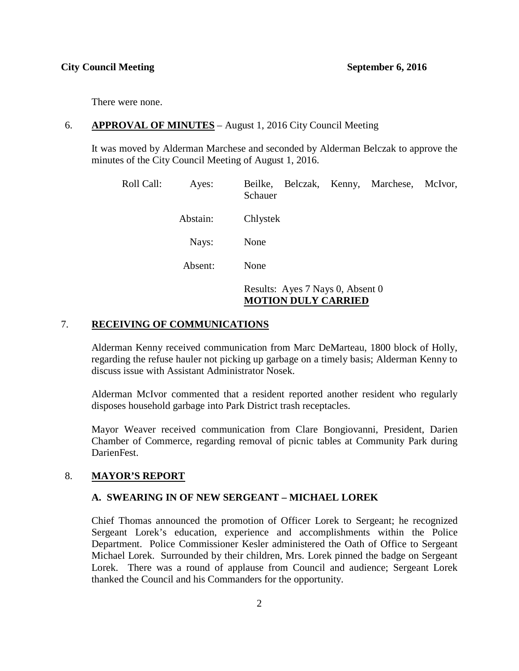There were none.

## 6. **APPROVAL OF MINUTES** – August 1, 2016 City Council Meeting

It was moved by Alderman Marchese and seconded by Alderman Belczak to approve the minutes of the City Council Meeting of August 1, 2016.

| Roll Call: | Ayes:    | Beilke, Belczak, Kenny, Marchese,<br>McIvor,<br>Schauer        |
|------------|----------|----------------------------------------------------------------|
|            | Abstain: | Chlystek                                                       |
|            | Nays:    | None                                                           |
|            | Absent:  | None                                                           |
|            |          | Results: Ayes 7 Nays 0, Absent 0<br><b>MOTION DULY CARRIED</b> |

## 7. **RECEIVING OF COMMUNICATIONS**

Alderman Kenny received communication from Marc DeMarteau, 1800 block of Holly, regarding the refuse hauler not picking up garbage on a timely basis; Alderman Kenny to discuss issue with Assistant Administrator Nosek.

Alderman McIvor commented that a resident reported another resident who regularly disposes household garbage into Park District trash receptacles.

Mayor Weaver received communication from Clare Bongiovanni, President, Darien Chamber of Commerce, regarding removal of picnic tables at Community Park during DarienFest.

## 8. **MAYOR'S REPORT**

## **A. SWEARING IN OF NEW SERGEANT – MICHAEL LOREK**

Chief Thomas announced the promotion of Officer Lorek to Sergeant; he recognized Sergeant Lorek's education, experience and accomplishments within the Police Department. Police Commissioner Kesler administered the Oath of Office to Sergeant Michael Lorek. Surrounded by their children, Mrs. Lorek pinned the badge on Sergeant Lorek. There was a round of applause from Council and audience; Sergeant Lorek thanked the Council and his Commanders for the opportunity.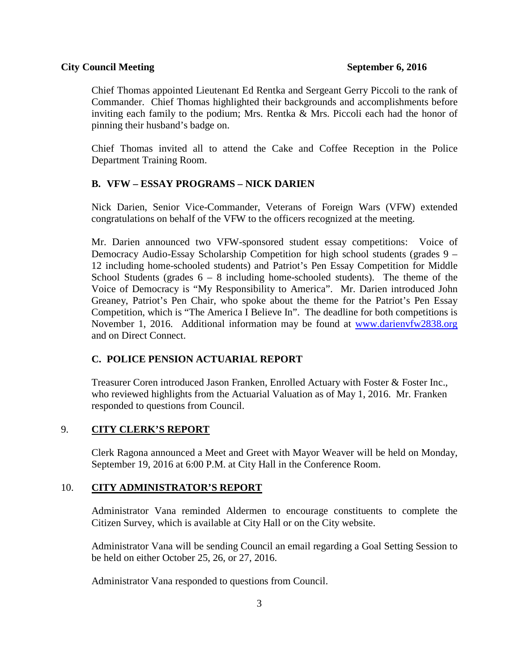Chief Thomas appointed Lieutenant Ed Rentka and Sergeant Gerry Piccoli to the rank of Commander. Chief Thomas highlighted their backgrounds and accomplishments before inviting each family to the podium; Mrs. Rentka & Mrs. Piccoli each had the honor of pinning their husband's badge on.

Chief Thomas invited all to attend the Cake and Coffee Reception in the Police Department Training Room.

# **B. VFW – ESSAY PROGRAMS – NICK DARIEN**

Nick Darien, Senior Vice-Commander, Veterans of Foreign Wars (VFW) extended congratulations on behalf of the VFW to the officers recognized at the meeting.

Mr. Darien announced two VFW-sponsored student essay competitions: Voice of Democracy Audio-Essay Scholarship Competition for high school students (grades 9 – 12 including home-schooled students) and Patriot's Pen Essay Competition for Middle School Students (grades  $6 - 8$  including home-schooled students). The theme of the Voice of Democracy is "My Responsibility to America". Mr. Darien introduced John Greaney, Patriot's Pen Chair, who spoke about the theme for the Patriot's Pen Essay Competition, which is "The America I Believe In". The deadline for both competitions is November 1, 2016. Additional information may be found at [www.darienvfw2838.org](http://www.darienvfw2838.org/) and on Direct Connect.

# **C. POLICE PENSION ACTUARIAL REPORT**

Treasurer Coren introduced Jason Franken, Enrolled Actuary with Foster & Foster Inc., who reviewed highlights from the Actuarial Valuation as of May 1, 2016. Mr. Franken responded to questions from Council.

# 9. **CITY CLERK'S REPORT**

Clerk Ragona announced a Meet and Greet with Mayor Weaver will be held on Monday, September 19, 2016 at 6:00 P.M. at City Hall in the Conference Room.

# 10. **CITY ADMINISTRATOR'S REPORT**

Administrator Vana reminded Aldermen to encourage constituents to complete the Citizen Survey, which is available at City Hall or on the City website.

Administrator Vana will be sending Council an email regarding a Goal Setting Session to be held on either October 25, 26, or 27, 2016.

Administrator Vana responded to questions from Council.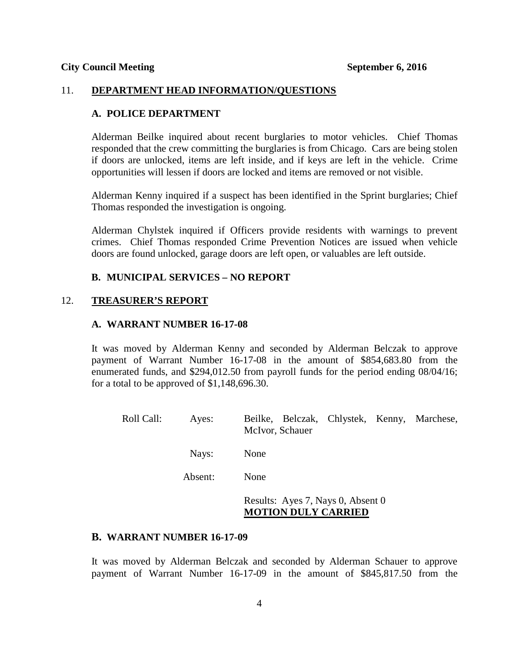#### 11. **DEPARTMENT HEAD INFORMATION/QUESTIONS**

## **A. POLICE DEPARTMENT**

Alderman Beilke inquired about recent burglaries to motor vehicles. Chief Thomas responded that the crew committing the burglaries is from Chicago. Cars are being stolen if doors are unlocked, items are left inside, and if keys are left in the vehicle. Crime opportunities will lessen if doors are locked and items are removed or not visible.

Alderman Kenny inquired if a suspect has been identified in the Sprint burglaries; Chief Thomas responded the investigation is ongoing.

Alderman Chylstek inquired if Officers provide residents with warnings to prevent crimes. Chief Thomas responded Crime Prevention Notices are issued when vehicle doors are found unlocked, garage doors are left open, or valuables are left outside.

## **B. MUNICIPAL SERVICES – NO REPORT**

#### 12. **TREASURER'S REPORT**

### **A. WARRANT NUMBER 16-17-08**

It was moved by Alderman Kenny and seconded by Alderman Belczak to approve payment of Warrant Number 16-17-08 in the amount of \$854,683.80 from the enumerated funds, and \$294,012.50 from payroll funds for the period ending 08/04/16; for a total to be approved of \$1,148,696.30.

| Roll Call: | Ayes:   | Beilke, Belczak, Chlystek, Kenny, Marchese,<br>McIvor, Schauer |
|------------|---------|----------------------------------------------------------------|
|            | Nays:   | None                                                           |
|            | Absent: | None                                                           |
|            |         | Results: Ayes 7, Nays 0, Absent 0                              |

## **MOTION DULY CARRIED**

#### **B. WARRANT NUMBER 16-17-09**

It was moved by Alderman Belczak and seconded by Alderman Schauer to approve payment of Warrant Number 16-17-09 in the amount of \$845,817.50 from the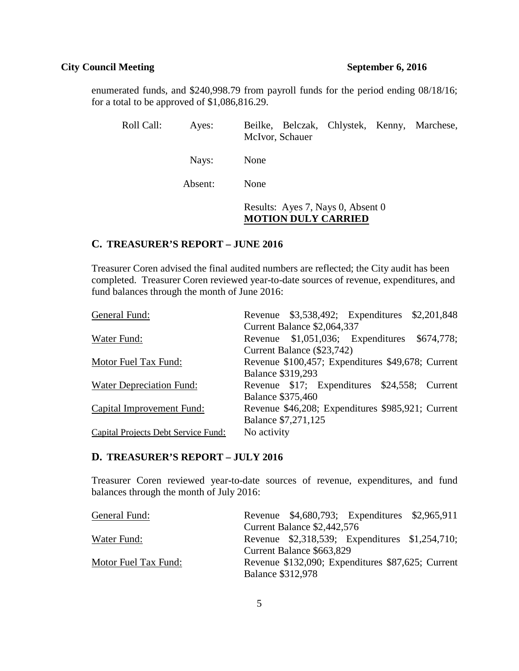enumerated funds, and \$240,998.79 from payroll funds for the period ending 08/18/16; for a total to be approved of \$1,086,816.29.

| Roll Call: | Ayes:   | Beilke, Belczak, Chlystek, Kenny, Marchese,<br>McIvor, Schauer  |
|------------|---------|-----------------------------------------------------------------|
|            | Nays:   | None                                                            |
|            | Absent: | None                                                            |
|            |         | Results: Ayes 7, Nays 0, Absent 0<br><b>MOTION DULY CARRIED</b> |

## **C. TREASURER'S REPORT – JUNE 2016**

Treasurer Coren advised the final audited numbers are reflected; the City audit has been completed. Treasurer Coren reviewed year-to-date sources of revenue, expenditures, and fund balances through the month of June 2016:

| General Fund:                       |                             |  |  | Revenue \$3,538,492; Expenditures \$2,201,848     |
|-------------------------------------|-----------------------------|--|--|---------------------------------------------------|
|                                     | Current Balance \$2,064,337 |  |  |                                                   |
| Water Fund:                         |                             |  |  | Revenue \$1,051,036; Expenditures \$674,778;      |
|                                     | Current Balance (\$23,742)  |  |  |                                                   |
| Motor Fuel Tax Fund:                |                             |  |  | Revenue \$100,457; Expenditures \$49,678; Current |
|                                     | <b>Balance \$319,293</b>    |  |  |                                                   |
| Water Depreciation Fund:            |                             |  |  | Revenue \$17; Expenditures \$24,558; Current      |
|                                     | <b>Balance \$375,460</b>    |  |  |                                                   |
| Capital Improvement Fund:           |                             |  |  | Revenue \$46,208; Expenditures \$985,921; Current |
|                                     | Balance \$7,271,125         |  |  |                                                   |
| Capital Projects Debt Service Fund: | No activity                 |  |  |                                                   |

## **D. TREASURER'S REPORT – JULY 2016**

Treasurer Coren reviewed year-to-date sources of revenue, expenditures, and fund balances through the month of July 2016:

| General Fund:        |                          |                             | Revenue \$4,680,793; Expenditures \$2,965,911     |  |
|----------------------|--------------------------|-----------------------------|---------------------------------------------------|--|
|                      |                          | Current Balance \$2,442,576 |                                                   |  |
| Water Fund:          |                          |                             | Revenue \$2,318,539; Expenditures \$1,254,710;    |  |
|                      |                          | Current Balance \$663,829   |                                                   |  |
| Motor Fuel Tax Fund: |                          |                             | Revenue \$132,090; Expenditures \$87,625; Current |  |
|                      | <b>Balance \$312,978</b> |                             |                                                   |  |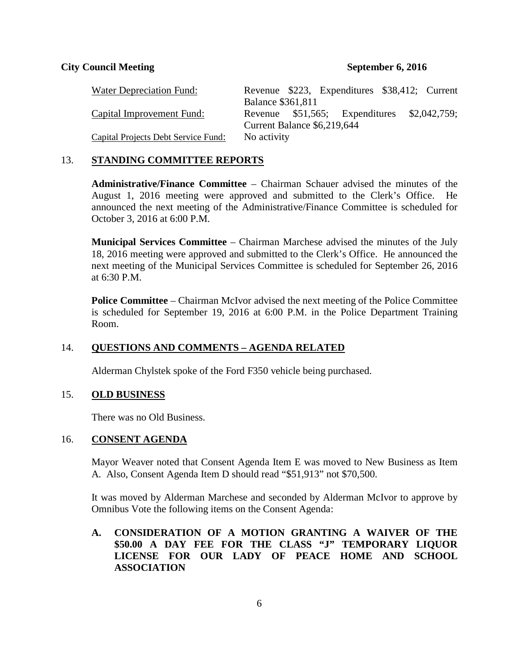| Water Depreciation Fund:                   |                          | Revenue \$223, Expenditures \$38,412; Current |              |
|--------------------------------------------|--------------------------|-----------------------------------------------|--------------|
|                                            | <b>Balance \$361,811</b> |                                               |              |
| Capital Improvement Fund:                  |                          | Revenue \$51,565; Expenditures                | \$2,042,759; |
|                                            |                          | Current Balance \$6,219,644                   |              |
| <b>Capital Projects Debt Service Fund:</b> | No activity              |                                               |              |

## 13. **STANDING COMMITTEE REPORTS**

**Administrative/Finance Committee** – Chairman Schauer advised the minutes of the August 1, 2016 meeting were approved and submitted to the Clerk's Office. He announced the next meeting of the Administrative/Finance Committee is scheduled for October 3, 2016 at 6:00 P.M.

**Municipal Services Committee** – Chairman Marchese advised the minutes of the July 18, 2016 meeting were approved and submitted to the Clerk's Office. He announced the next meeting of the Municipal Services Committee is scheduled for September 26, 2016 at 6:30 P.M.

**Police Committee** – Chairman McIvor advised the next meeting of the Police Committee is scheduled for September 19, 2016 at 6:00 P.M. in the Police Department Training Room.

## 14. **QUESTIONS AND COMMENTS – AGENDA RELATED**

Alderman Chylstek spoke of the Ford F350 vehicle being purchased.

## 15. **OLD BUSINESS**

There was no Old Business.

## 16. **CONSENT AGENDA**

Mayor Weaver noted that Consent Agenda Item E was moved to New Business as Item A. Also, Consent Agenda Item D should read "\$51,913" not \$70,500.

It was moved by Alderman Marchese and seconded by Alderman McIvor to approve by Omnibus Vote the following items on the Consent Agenda:

# **A. CONSIDERATION OF A MOTION GRANTING A WAIVER OF THE \$50.00 A DAY FEE FOR THE CLASS "J" TEMPORARY LIQUOR LICENSE FOR OUR LADY OF PEACE HOME AND SCHOOL ASSOCIATION**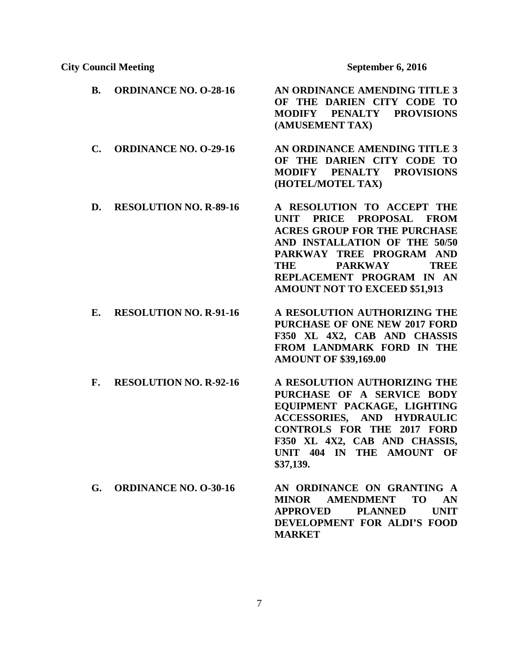| <b>B.</b>      | <b>ORDINANCE NO. O-28-16</b>  | AN ORDINANCE AMENDING TITLE 3<br>OF THE DARIEN CITY CODE TO<br><b>MODIFY</b><br><b>PENALTY</b><br><b>PROVISIONS</b><br>(AMUSEMENT TAX)                                                                                                                                  |
|----------------|-------------------------------|-------------------------------------------------------------------------------------------------------------------------------------------------------------------------------------------------------------------------------------------------------------------------|
| $\mathbf{C}$ . | <b>ORDINANCE NO. O-29-16</b>  | AN ORDINANCE AMENDING TITLE 3<br>OF THE DARIEN CITY CODE TO<br><b>MODIFY</b><br><b>PENALTY</b><br><b>PROVISIONS</b><br>(HOTEL/MOTEL TAX)                                                                                                                                |
| D.             | <b>RESOLUTION NO. R-89-16</b> | A RESOLUTION TO ACCEPT THE<br>UNIT PRICE PROPOSAL FROM<br><b>ACRES GROUP FOR THE PURCHASE</b><br>AND INSTALLATION OF THE 50/50<br>PARKWAY TREE PROGRAM AND<br><b>PARKWAY</b><br><b>TREE</b><br>THE<br>REPLACEMENT PROGRAM IN AN<br><b>AMOUNT NOT TO EXCEED \$51,913</b> |
| Е.             | <b>RESOLUTION NO. R-91-16</b> | A RESOLUTION AUTHORIZING THE<br><b>PURCHASE OF ONE NEW 2017 FORD</b><br>F350 XL 4X2, CAB AND CHASSIS<br>FROM LANDMARK FORD IN THE<br><b>AMOUNT OF \$39,169.00</b>                                                                                                       |
| F.             | <b>RESOLUTION NO. R-92-16</b> | A RESOLUTION AUTHORIZING THE<br>PURCHASE OF A SERVICE BODY<br>EQUIPMENT PACKAGE, LIGHTING<br><b>ACCESSORIES, AND HYDRAULIC</b><br><b>CONTROLS FOR THE 2017 FORD</b><br>F350 XL 4X2, CAB AND CHASSIS,<br><b>UNIT 404 IN</b><br>THE AMOUNT OF<br>\$37,139.                |
| G.             | <b>ORDINANCE NO. O-30-16</b>  | AN ORDINANCE ON GRANTING A<br><b>AMENDMENT</b><br><b>TO</b><br><b>MINOR</b><br>AN<br><b>UNIT</b><br><b>APPROVED</b><br><b>PLANNED</b><br>DEVELOPMENT FOR ALDI'S FOOD                                                                                                    |

**MARKET**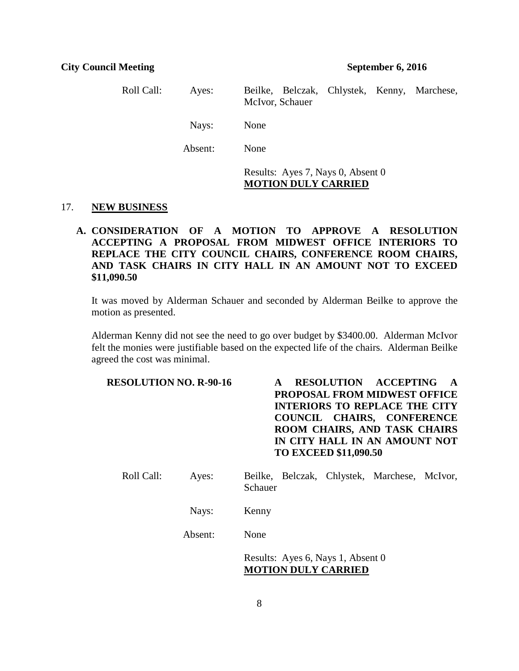Roll Call: Ayes: Beilke, Belczak, Chlystek, Kenny, Marchese, McIvor, Schauer Nays: None Absent: None Results: Ayes 7, Nays 0, Absent 0 **MOTION DULY CARRIED**

#### 17. **NEW BUSINESS**

**A. CONSIDERATION OF A MOTION TO APPROVE A RESOLUTION ACCEPTING A PROPOSAL FROM MIDWEST OFFICE INTERIORS TO REPLACE THE CITY COUNCIL CHAIRS, CONFERENCE ROOM CHAIRS, AND TASK CHAIRS IN CITY HALL IN AN AMOUNT NOT TO EXCEED \$11,090.50**

It was moved by Alderman Schauer and seconded by Alderman Beilke to approve the motion as presented.

Alderman Kenny did not see the need to go over budget by \$3400.00. Alderman McIvor felt the monies were justifiable based on the expected life of the chairs. Alderman Beilke agreed the cost was minimal.

| <b>RESOLUTION NO. R-90-16</b> | <b>RESOLUTION ACCEPTING</b><br><b>PROPOSAL FROM MIDWEST OFFICE</b><br><b>INTERIORS TO REPLACE THE CITY</b><br><b>COUNCIL CHAIRS, CONFERENCE</b><br>ROOM CHAIRS, AND TASK CHAIRS<br>IN CITY HALL IN AN AMOUNT NOT<br><b>TO EXCEED \$11,090.50</b> |  |  |  |  |
|-------------------------------|--------------------------------------------------------------------------------------------------------------------------------------------------------------------------------------------------------------------------------------------------|--|--|--|--|
| Roll Call:<br>Ayes:           | Beilke, Belczak, Chlystek, Marchese, McIvor,<br>Schauer                                                                                                                                                                                          |  |  |  |  |
| Nays:                         | Kenny                                                                                                                                                                                                                                            |  |  |  |  |
| Absent:                       | None                                                                                                                                                                                                                                             |  |  |  |  |
|                               | $\sim$ $\sim$ $\sim$ $\sim$ $\sim$ $\sim$                                                                                                                                                                                                        |  |  |  |  |

Results: Ayes 6, Nays 1, Absent 0 **MOTION DULY CARRIED**